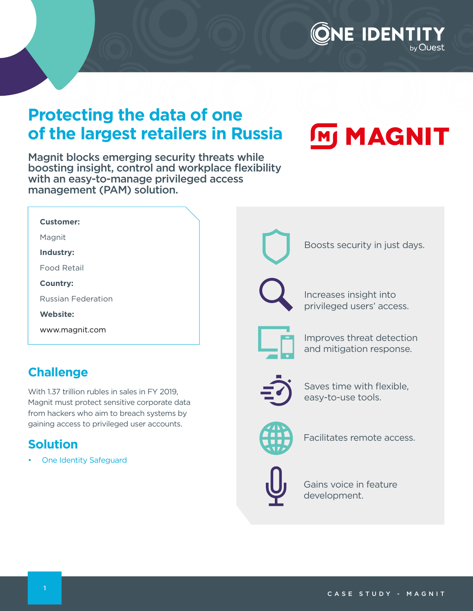## **IE IDENTIT**

### **Protecting the data of one of the largest retailers in Russia**

Magnit blocks emerging security threats while boosting insight, control and workplace flexibility with an easy-to-manage privileged access management (PAM) solution.

# **MM MAGNIT**

| Customer:                 |
|---------------------------|
| Magnit                    |
| Industry:                 |
| Food Retail               |
| <b>Country:</b>           |
| <b>Russian Federation</b> |
| <b>Website:</b>           |
| www.magnit.com            |

### **Challenge**

With 1.37 trillion rubles in sales in FY 2019, Magnit must protect sensitive corporate data from hackers who aim to breach systems by gaining access to privileged user accounts.

### **Solution**

• [One Identity Safeguard](https://www.oneidentity.com/one-identity-safeguard/) 



Boosts security in just days.

Increases insight into privileged users' access.



Improves threat detection and mitigation response.



Saves time with flexible, easy-to-use tools.



Facilitates remote access.



Gains voice in feature development.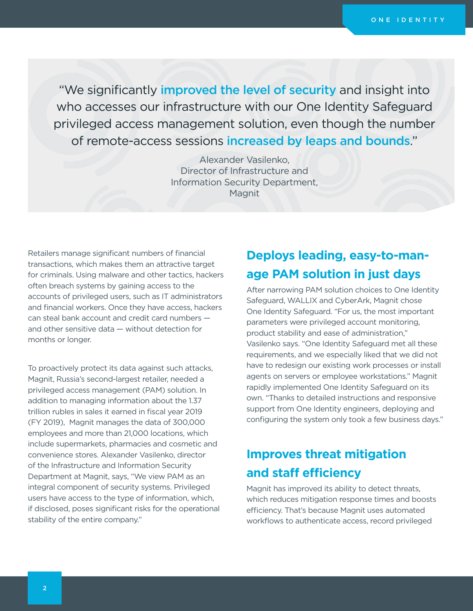"We significantly *improved* the level of security and insight into who accesses our infrastructure with our One Identity Safeguard privileged access management solution, even though the number of remote-access sessions increased by leaps and bounds."

> Alexander Vasilenko, Director of Infrastructure and Information Security Department, Magnit

Retailers manage significant numbers of financial transactions, which makes them an attractive target for criminals. Using malware and other tactics, hackers often breach systems by gaining access to the accounts of privileged users, such as IT administrators and financial workers. Once they have access, hackers can steal bank account and credit card numbers and other sensitive data — without detection for months or longer.

To proactively protect its data against such attacks, Magnit, Russia's second-largest retailer, needed a privileged access management (PAM) solution. In addition to managing information about the 1.37 trillion rubles in sales it earned in fiscal year 2019 (FY 2019), Magnit manages the data of 300,000 employees and more than 21,000 locations, which include supermarkets, pharmacies and cosmetic and convenience stores. Alexander Vasilenko, director of the Infrastructure and Information Security Department at Magnit, says, "We view PAM as an integral component of security systems. Privileged users have access to the type of information, which, if disclosed, poses significant risks for the operational stability of the entire company."

#### **Deploys leading, easy-to-manage PAM solution in just days**

After narrowing PAM solution choices to One Identity Safeguard, WALLIX and CyberArk, Magnit chose One Identity Safeguard. "For us, the most important parameters were privileged account monitoring, product stability and ease of administration," Vasilenko says. "One Identity Safeguard met all these requirements, and we especially liked that we did not have to redesign our existing work processes or install agents on servers or employee workstations." Magnit rapidly implemented One Identity Safeguard on its own. "Thanks to detailed instructions and responsive support from One Identity engineers, deploying and configuring the system only took a few business days."

#### **Improves threat mitigation and staff efficiency**

Magnit has improved its ability to detect threats, which reduces mitigation response times and boosts efficiency. That's because Magnit uses automated workflows to authenticate access, record privileged